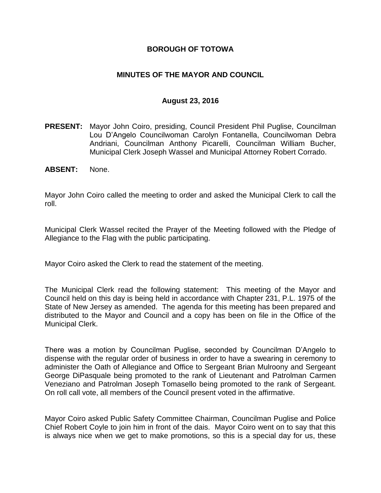#### **BOROUGH OF TOTOWA**

#### **MINUTES OF THE MAYOR AND COUNCIL**

#### **August 23, 2016**

- **PRESENT:** Mayor John Coiro, presiding, Council President Phil Puglise, Councilman Lou D'Angelo Councilwoman Carolyn Fontanella, Councilwoman Debra Andriani, Councilman Anthony Picarelli, Councilman William Bucher, Municipal Clerk Joseph Wassel and Municipal Attorney Robert Corrado.
- **ABSENT:** None.

Mayor John Coiro called the meeting to order and asked the Municipal Clerk to call the roll.

Municipal Clerk Wassel recited the Prayer of the Meeting followed with the Pledge of Allegiance to the Flag with the public participating.

Mayor Coiro asked the Clerk to read the statement of the meeting.

The Municipal Clerk read the following statement: This meeting of the Mayor and Council held on this day is being held in accordance with Chapter 231, P.L. 1975 of the State of New Jersey as amended. The agenda for this meeting has been prepared and distributed to the Mayor and Council and a copy has been on file in the Office of the Municipal Clerk.

There was a motion by Councilman Puglise, seconded by Councilman D'Angelo to dispense with the regular order of business in order to have a swearing in ceremony to administer the Oath of Allegiance and Office to Sergeant Brian Mulroony and Sergeant George DiPasquale being promoted to the rank of Lieutenant and Patrolman Carmen Veneziano and Patrolman Joseph Tomasello being promoted to the rank of Sergeant. On roll call vote, all members of the Council present voted in the affirmative.

Mayor Coiro asked Public Safety Committee Chairman, Councilman Puglise and Police Chief Robert Coyle to join him in front of the dais. Mayor Coiro went on to say that this is always nice when we get to make promotions, so this is a special day for us, these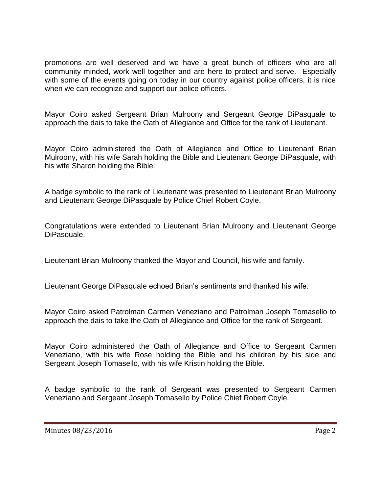promotions are well deserved and we have a great bunch of officers who are all community minded, work well together and are here to protect and serve. Especially with some of the events going on today in our country against police officers, it is nice when we can recognize and support our police officers.

Mayor Coiro asked Sergeant Brian Mulroony and Sergeant George DiPasquale to approach the dais to take the Oath of Allegiance and Office for the rank of Lieutenant.

Mayor Coiro administered the Oath of Allegiance and Office to Lieutenant Brian Mulroony, with his wife Sarah holding the Bible and Lieutenant George DiPasquale, with his wife Sharon holding the Bible.

A badge symbolic to the rank of Lieutenant was presented to Lieutenant Brian Mulroony and Lieutenant George DiPasquale by Police Chief Robert Coyle.

Congratulations were extended to Lieutenant Brian Mulroony and Lieutenant George DiPasquale.

Lieutenant Brian Mulroony thanked the Mayor and Council, his wife and family.

Lieutenant George DiPasquale echoed Brian's sentiments and thanked his wife.

Mayor Coiro asked Patrolman Carmen Veneziano and Patrolman Joseph Tomasello to approach the dais to take the Oath of Allegiance and Office for the rank of Sergeant.

Mayor Coiro administered the Oath of Allegiance and Office to Sergeant Carmen Veneziano, with his wife Rose holding the Bible and his children by his side and Sergeant Joseph Tomasello, with his wife Kristin holding the Bible.

A badge symbolic to the rank of Sergeant was presented to Sergeant Carmen Veneziano and Sergeant Joseph Tomasello by Police Chief Robert Coyle.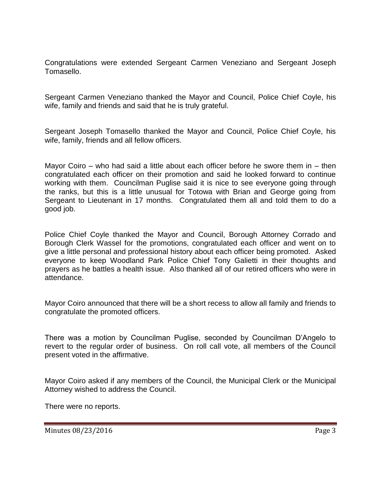Congratulations were extended Sergeant Carmen Veneziano and Sergeant Joseph Tomasello.

Sergeant Carmen Veneziano thanked the Mayor and Council, Police Chief Coyle, his wife, family and friends and said that he is truly grateful.

Sergeant Joseph Tomasello thanked the Mayor and Council, Police Chief Coyle, his wife, family, friends and all fellow officers.

Mayor Coiro – who had said a little about each officer before he swore them in  $-$  then congratulated each officer on their promotion and said he looked forward to continue working with them. Councilman Puglise said it is nice to see everyone going through the ranks, but this is a little unusual for Totowa with Brian and George going from Sergeant to Lieutenant in 17 months. Congratulated them all and told them to do a good job.

Police Chief Coyle thanked the Mayor and Council, Borough Attorney Corrado and Borough Clerk Wassel for the promotions, congratulated each officer and went on to give a little personal and professional history about each officer being promoted. Asked everyone to keep Woodland Park Police Chief Tony Galietti in their thoughts and prayers as he battles a health issue. Also thanked all of our retired officers who were in attendance.

Mayor Coiro announced that there will be a short recess to allow all family and friends to congratulate the promoted officers.

There was a motion by Councilman Puglise, seconded by Councilman D'Angelo to revert to the regular order of business. On roll call vote, all members of the Council present voted in the affirmative.

Mayor Coiro asked if any members of the Council, the Municipal Clerk or the Municipal Attorney wished to address the Council.

There were no reports.

Minutes 08/23/2016 **Page 3**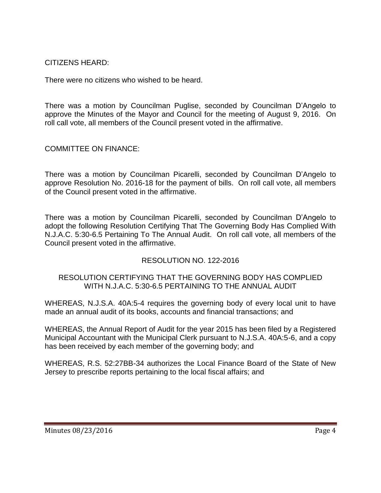CITIZENS HEARD:

There were no citizens who wished to be heard.

There was a motion by Councilman Puglise, seconded by Councilman D'Angelo to approve the Minutes of the Mayor and Council for the meeting of August 9, 2016. On roll call vote, all members of the Council present voted in the affirmative.

COMMITTEE ON FINANCE:

There was a motion by Councilman Picarelli, seconded by Councilman D'Angelo to approve Resolution No. 2016-18 for the payment of bills. On roll call vote, all members of the Council present voted in the affirmative.

There was a motion by Councilman Picarelli, seconded by Councilman D'Angelo to adopt the following Resolution Certifying That The Governing Body Has Complied With N.J.A.C. 5:30-6.5 Pertaining To The Annual Audit. On roll call vote, all members of the Council present voted in the affirmative.

## RESOLUTION NO. 122-2016

#### RESOLUTION CERTIFYING THAT THE GOVERNING BODY HAS COMPLIED WITH N.J.A.C. 5:30-6.5 PERTAINING TO THE ANNUAL AUDIT

WHEREAS, N.J.S.A. 40A:5-4 requires the governing body of every local unit to have made an annual audit of its books, accounts and financial transactions; and

WHEREAS, the Annual Report of Audit for the year 2015 has been filed by a Registered Municipal Accountant with the Municipal Clerk pursuant to N.J.S.A. 40A:5-6, and a copy has been received by each member of the governing body; and

WHEREAS, R.S. 52:27BB-34 authorizes the Local Finance Board of the State of New Jersey to prescribe reports pertaining to the local fiscal affairs; and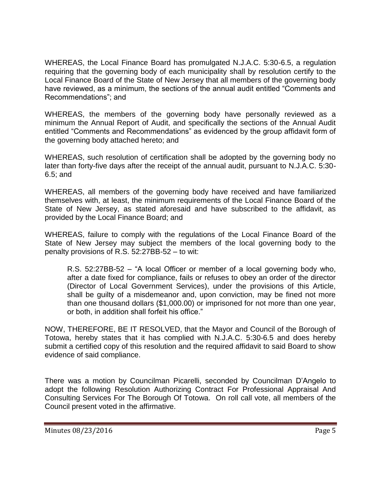WHEREAS, the Local Finance Board has promulgated N.J.A.C. 5:30-6.5, a regulation requiring that the governing body of each municipality shall by resolution certify to the Local Finance Board of the State of New Jersey that all members of the governing body have reviewed, as a minimum, the sections of the annual audit entitled "Comments and Recommendations"; and

WHEREAS, the members of the governing body have personally reviewed as a minimum the Annual Report of Audit, and specifically the sections of the Annual Audit entitled "Comments and Recommendations" as evidenced by the group affidavit form of the governing body attached hereto; and

WHEREAS, such resolution of certification shall be adopted by the governing body no later than forty-five days after the receipt of the annual audit, pursuant to N.J.A.C. 5:30- 6.5; and

WHEREAS, all members of the governing body have received and have familiarized themselves with, at least, the minimum requirements of the Local Finance Board of the State of New Jersey, as stated aforesaid and have subscribed to the affidavit, as provided by the Local Finance Board; and

WHEREAS, failure to comply with the regulations of the Local Finance Board of the State of New Jersey may subject the members of the local governing body to the penalty provisions of R.S. 52:27BB-52 – to wit:

R.S. 52:27BB-52 – "A local Officer or member of a local governing body who, after a date fixed for compliance, fails or refuses to obey an order of the director (Director of Local Government Services), under the provisions of this Article, shall be guilty of a misdemeanor and, upon conviction, may be fined not more than one thousand dollars (\$1,000.00) or imprisoned for not more than one year, or both, in addition shall forfeit his office."

NOW, THEREFORE, BE IT RESOLVED, that the Mayor and Council of the Borough of Totowa, hereby states that it has complied with N.J.A.C. 5:30-6.5 and does hereby submit a certified copy of this resolution and the required affidavit to said Board to show evidence of said compliance.

There was a motion by Councilman Picarelli, seconded by Councilman D'Angelo to adopt the following Resolution Authorizing Contract For Professional Appraisal And Consulting Services For The Borough Of Totowa. On roll call vote, all members of the Council present voted in the affirmative.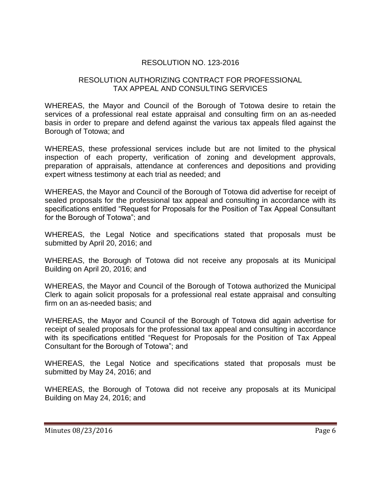## RESOLUTION NO. 123-2016

#### RESOLUTION AUTHORIZING CONTRACT FOR PROFESSIONAL TAX APPEAL AND CONSULTING SERVICES

WHEREAS, the Mayor and Council of the Borough of Totowa desire to retain the services of a professional real estate appraisal and consulting firm on an as-needed basis in order to prepare and defend against the various tax appeals filed against the Borough of Totowa; and

WHEREAS, these professional services include but are not limited to the physical inspection of each property, verification of zoning and development approvals, preparation of appraisals, attendance at conferences and depositions and providing expert witness testimony at each trial as needed; and

WHEREAS, the Mayor and Council of the Borough of Totowa did advertise for receipt of sealed proposals for the professional tax appeal and consulting in accordance with its specifications entitled "Request for Proposals for the Position of Tax Appeal Consultant for the Borough of Totowa"; and

WHEREAS, the Legal Notice and specifications stated that proposals must be submitted by April 20, 2016; and

WHEREAS, the Borough of Totowa did not receive any proposals at its Municipal Building on April 20, 2016; and

WHEREAS, the Mayor and Council of the Borough of Totowa authorized the Municipal Clerk to again solicit proposals for a professional real estate appraisal and consulting firm on an as-needed basis; and

WHEREAS, the Mayor and Council of the Borough of Totowa did again advertise for receipt of sealed proposals for the professional tax appeal and consulting in accordance with its specifications entitled "Request for Proposals for the Position of Tax Appeal Consultant for the Borough of Totowa"; and

WHEREAS, the Legal Notice and specifications stated that proposals must be submitted by May 24, 2016; and

WHEREAS, the Borough of Totowa did not receive any proposals at its Municipal Building on May 24, 2016; and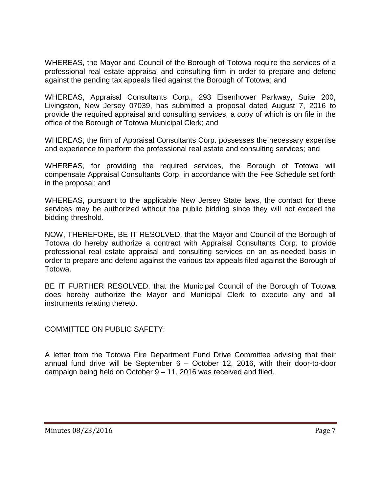WHEREAS, the Mayor and Council of the Borough of Totowa require the services of a professional real estate appraisal and consulting firm in order to prepare and defend against the pending tax appeals filed against the Borough of Totowa; and

WHEREAS, Appraisal Consultants Corp., 293 Eisenhower Parkway, Suite 200, Livingston, New Jersey 07039, has submitted a proposal dated August 7, 2016 to provide the required appraisal and consulting services, a copy of which is on file in the office of the Borough of Totowa Municipal Clerk; and

WHEREAS, the firm of Appraisal Consultants Corp. possesses the necessary expertise and experience to perform the professional real estate and consulting services; and

WHEREAS, for providing the required services, the Borough of Totowa will compensate Appraisal Consultants Corp. in accordance with the Fee Schedule set forth in the proposal; and

WHEREAS, pursuant to the applicable New Jersey State laws, the contact for these services may be authorized without the public bidding since they will not exceed the bidding threshold.

NOW, THEREFORE, BE IT RESOLVED, that the Mayor and Council of the Borough of Totowa do hereby authorize a contract with Appraisal Consultants Corp. to provide professional real estate appraisal and consulting services on an as-needed basis in order to prepare and defend against the various tax appeals filed against the Borough of Totowa.

BE IT FURTHER RESOLVED, that the Municipal Council of the Borough of Totowa does hereby authorize the Mayor and Municipal Clerk to execute any and all instruments relating thereto.

COMMITTEE ON PUBLIC SAFETY:

A letter from the Totowa Fire Department Fund Drive Committee advising that their annual fund drive will be September 6 – October 12, 2016, with their door-to-door campaign being held on October 9 – 11, 2016 was received and filed.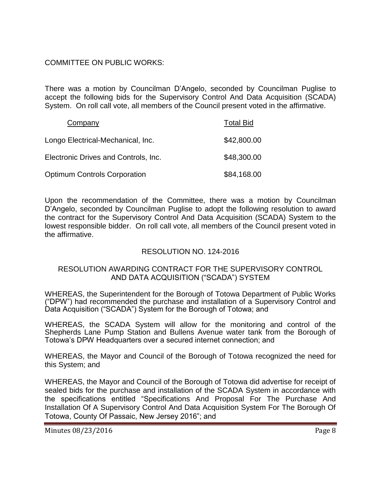#### COMMITTEE ON PUBLIC WORKS:

There was a motion by Councilman D'Angelo, seconded by Councilman Puglise to accept the following bids for the Supervisory Control And Data Acquisition (SCADA) System. On roll call vote, all members of the Council present voted in the affirmative.

| Company                              | <b>Total Bid</b> |
|--------------------------------------|------------------|
| Longo Electrical-Mechanical, Inc.    | \$42,800.00      |
| Electronic Drives and Controls, Inc. | \$48,300.00      |
| <b>Optimum Controls Corporation</b>  | \$84,168.00      |

Upon the recommendation of the Committee, there was a motion by Councilman D'Angelo, seconded by Councilman Puglise to adopt the following resolution to award the contract for the Supervisory Control And Data Acquisition (SCADA) System to the lowest responsible bidder. On roll call vote, all members of the Council present voted in the affirmative.

## RESOLUTION NO. 124-2016

#### RESOLUTION AWARDING CONTRACT FOR THE SUPERVISORY CONTROL AND DATA ACQUISITION ("SCADA") SYSTEM

WHEREAS, the Superintendent for the Borough of Totowa Department of Public Works ("DPW") had recommended the purchase and installation of a Supervisory Control and Data Acquisition ("SCADA") System for the Borough of Totowa; and

WHEREAS, the SCADA System will allow for the monitoring and control of the Shepherds Lane Pump Station and Bullens Avenue water tank from the Borough of Totowa's DPW Headquarters over a secured internet connection; and

WHEREAS, the Mayor and Council of the Borough of Totowa recognized the need for this System; and

WHEREAS, the Mayor and Council of the Borough of Totowa did advertise for receipt of sealed bids for the purchase and installation of the SCADA System in accordance with the specifications entitled "Specifications And Proposal For The Purchase And Installation Of A Supervisory Control And Data Acquisition System For The Borough Of Totowa, County Of Passaic, New Jersey 2016"; and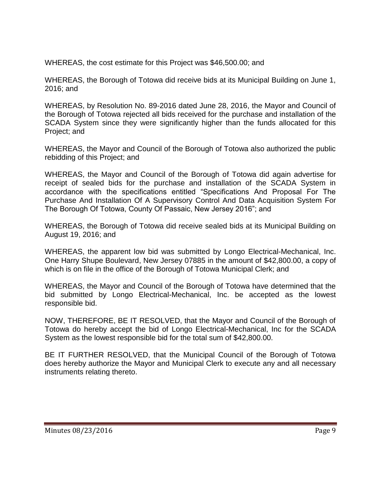WHEREAS, the cost estimate for this Project was \$46,500.00; and

WHEREAS, the Borough of Totowa did receive bids at its Municipal Building on June 1, 2016; and

WHEREAS, by Resolution No. 89-2016 dated June 28, 2016, the Mayor and Council of the Borough of Totowa rejected all bids received for the purchase and installation of the SCADA System since they were significantly higher than the funds allocated for this Project; and

WHEREAS, the Mayor and Council of the Borough of Totowa also authorized the public rebidding of this Project; and

WHEREAS, the Mayor and Council of the Borough of Totowa did again advertise for receipt of sealed bids for the purchase and installation of the SCADA System in accordance with the specifications entitled "Specifications And Proposal For The Purchase And Installation Of A Supervisory Control And Data Acquisition System For The Borough Of Totowa, County Of Passaic, New Jersey 2016"; and

WHEREAS, the Borough of Totowa did receive sealed bids at its Municipal Building on August 19, 2016; and

WHEREAS, the apparent low bid was submitted by Longo Electrical-Mechanical, Inc. One Harry Shupe Boulevard, New Jersey 07885 in the amount of \$42,800.00, a copy of which is on file in the office of the Borough of Totowa Municipal Clerk; and

WHEREAS, the Mayor and Council of the Borough of Totowa have determined that the bid submitted by Longo Electrical-Mechanical, Inc. be accepted as the lowest responsible bid.

NOW, THEREFORE, BE IT RESOLVED, that the Mayor and Council of the Borough of Totowa do hereby accept the bid of Longo Electrical-Mechanical, Inc for the SCADA System as the lowest responsible bid for the total sum of \$42,800.00.

BE IT FURTHER RESOLVED, that the Municipal Council of the Borough of Totowa does hereby authorize the Mayor and Municipal Clerk to execute any and all necessary instruments relating thereto.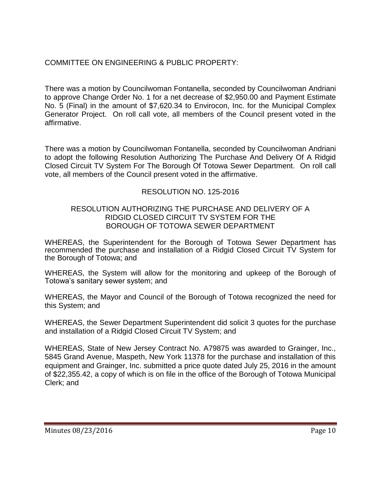## COMMITTEE ON ENGINEERING & PUBLIC PROPERTY:

There was a motion by Councilwoman Fontanella, seconded by Councilwoman Andriani to approve Change Order No. 1 for a net decrease of \$2,950.00 and Payment Estimate No. 5 (Final) in the amount of \$7,620.34 to Envirocon, Inc. for the Municipal Complex Generator Project. On roll call vote, all members of the Council present voted in the affirmative.

There was a motion by Councilwoman Fontanella, seconded by Councilwoman Andriani to adopt the following Resolution Authorizing The Purchase And Delivery Of A Ridgid Closed Circuit TV System For The Borough Of Totowa Sewer Department. On roll call vote, all members of the Council present voted in the affirmative.

## RESOLUTION NO. 125-2016

#### RESOLUTION AUTHORIZING THE PURCHASE AND DELIVERY OF A RIDGID CLOSED CIRCUIT TV SYSTEM FOR THE BOROUGH OF TOTOWA SEWER DEPARTMENT

WHEREAS, the Superintendent for the Borough of Totowa Sewer Department has recommended the purchase and installation of a Ridgid Closed Circuit TV System for the Borough of Totowa; and

WHEREAS, the System will allow for the monitoring and upkeep of the Borough of Totowa's sanitary sewer system; and

WHEREAS, the Mayor and Council of the Borough of Totowa recognized the need for this System; and

WHEREAS, the Sewer Department Superintendent did solicit 3 quotes for the purchase and installation of a Ridgid Closed Circuit TV System; and

WHEREAS, State of New Jersey Contract No. A79875 was awarded to Grainger, Inc., 5845 Grand Avenue, Maspeth, New York 11378 for the purchase and installation of this equipment and Grainger, Inc. submitted a price quote dated July 25, 2016 in the amount of \$22,355.42, a copy of which is on file in the office of the Borough of Totowa Municipal Clerk; and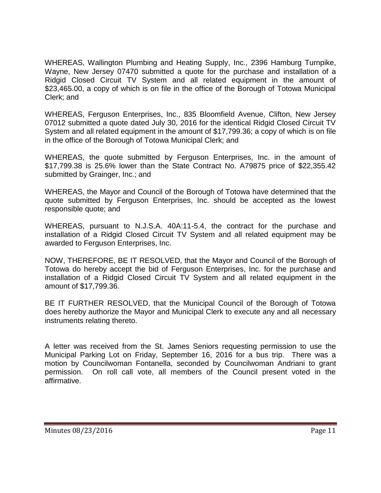WHEREAS, Wallington Plumbing and Heating Supply, Inc., 2396 Hamburg Turnpike, Wayne, New Jersey 07470 submitted a quote for the purchase and installation of a Ridgid Closed Circuit TV System and all related equipment in the amount of \$23,465.00, a copy of which is on file in the office of the Borough of Totowa Municipal Clerk; and

WHEREAS, Ferguson Enterprises, Inc., 835 Bloomfield Avenue, Clifton, New Jersey 07012 submitted a quote dated July 30, 2016 for the identical Ridgid Closed Circuit TV System and all related equipment in the amount of \$17,799.36; a copy of which is on file in the office of the Borough of Totowa Municipal Clerk; and

WHEREAS, the quote submitted by Ferguson Enterprises, Inc. in the amount of \$17,799.38 is 25.6% lower than the State Contract No. A79875 price of \$22,355.42 submitted by Grainger, Inc.; and

WHEREAS, the Mayor and Council of the Borough of Totowa have determined that the quote submitted by Ferguson Enterprises, Inc. should be accepted as the lowest responsible quote; and

WHEREAS, pursuant to N.J.S.A. 40A:11-5.4, the contract for the purchase and installation of a Ridgid Closed Circuit TV System and all related equipment may be awarded to Ferguson Enterprises, Inc.

NOW, THEREFORE, BE IT RESOLVED, that the Mayor and Council of the Borough of Totowa do hereby accept the bid of Ferguson Enterprises, Inc. for the purchase and installation of a Ridgid Closed Circuit TV System and all related equipment in the amount of \$17,799.36.

BE IT FURTHER RESOLVED, that the Municipal Council of the Borough of Totowa does hereby authorize the Mayor and Municipal Clerk to execute any and all necessary instruments relating thereto.

A letter was received from the St. James Seniors requesting permission to use the Municipal Parking Lot on Friday, September 16, 2016 for a bus trip. There was a motion by Councilwoman Fontanella, seconded by Councilwoman Andriani to grant permission. On roll call vote, all members of the Council present voted in the affirmative.